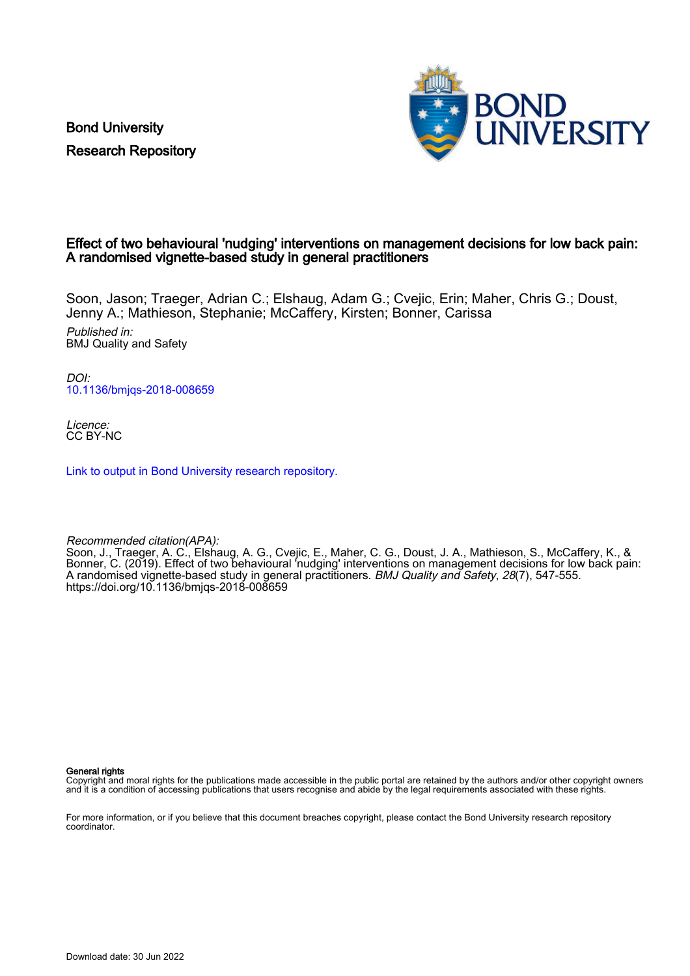Bond University Research Repository



## Effect of two behavioural 'nudging' interventions on management decisions for low back pain: A randomised vignette-based study in general practitioners

Soon, Jason; Traeger, Adrian C.; Elshaug, Adam G.; Cvejic, Erin; Maher, Chris G.; Doust, Jenny A.; Mathieson, Stephanie; McCaffery, Kirsten; Bonner, Carissa

Published in: BMJ Quality and Safety

DOI: [10.1136/bmjqs-2018-008659](https://doi.org/10.1136/bmjqs-2018-008659)

Licence: CC BY-NC

[Link to output in Bond University research repository.](https://research.bond.edu.au/en/publications/3dc8a847-e247-4f13-8534-a1d0d2492e83)

Recommended citation(APA):

Soon, J., Traeger, A. C., Elshaug, A. G., Cvejic, E., Maher, C. G., Doust, J. A., Mathieson, S., McCaffery, K., & Bonner, C. (2019). Effect of two behavioural 'nudging' interventions on management decisions for low back pain: A randomised vignette-based study in general practitioners. BMJ Quality and Safety, 28(7), 547-555. <https://doi.org/10.1136/bmjqs-2018-008659>

General rights

Copyright and moral rights for the publications made accessible in the public portal are retained by the authors and/or other copyright owners and it is a condition of accessing publications that users recognise and abide by the legal requirements associated with these rights.

For more information, or if you believe that this document breaches copyright, please contact the Bond University research repository coordinator.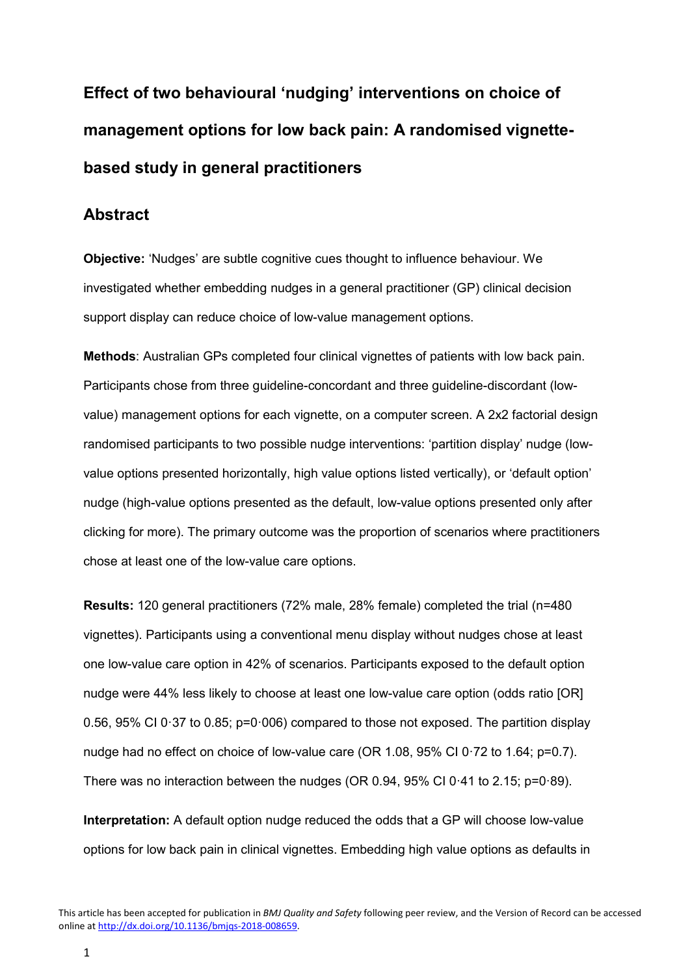**Effect of two behavioural 'nudging' interventions on choice of management options for low back pain: A randomised vignettebased study in general practitioners**

# **Abstract**

**Objective:** 'Nudges' are subtle cognitive cues thought to influence behaviour. We investigated whether embedding nudges in a general practitioner (GP) clinical decision support display can reduce choice of low-value management options.

**Methods**: Australian GPs completed four clinical vignettes of patients with low back pain. Participants chose from three guideline-concordant and three guideline-discordant (lowvalue) management options for each vignette, on a computer screen. A 2x2 factorial design randomised participants to two possible nudge interventions: 'partition display' nudge (lowvalue options presented horizontally, high value options listed vertically), or 'default option' nudge (high-value options presented as the default, low-value options presented only after clicking for more). The primary outcome was the proportion of scenarios where practitioners chose at least one of the low-value care options.

**Results:** 120 general practitioners (72% male, 28% female) completed the trial (n=480 vignettes). Participants using a conventional menu display without nudges chose at least one low-value care option in 42% of scenarios. Participants exposed to the default option nudge were 44% less likely to choose at least one low-value care option (odds ratio [OR] 0.56, 95% CI 0·37 to 0.85; p=0·006) compared to those not exposed. The partition display nudge had no effect on choice of low-value care (OR 1.08, 95% CI 0·72 to 1.64; p=0.7). There was no interaction between the nudges (OR 0.94, 95% CI 0·41 to 2.15; p=0·89).

**Interpretation:** A default option nudge reduced the odds that a GP will choose low-value options for low back pain in clinical vignettes. Embedding high value options as defaults in

This article has been accepted for publication in *BMJ Quality and Safety* following peer review, and the Version of Record can be accessed online at [http://dx.doi.org/10.1136/bmjqs-2018-008659.](http://dx.doi.org/10.1136/bmjqs-2018-008659)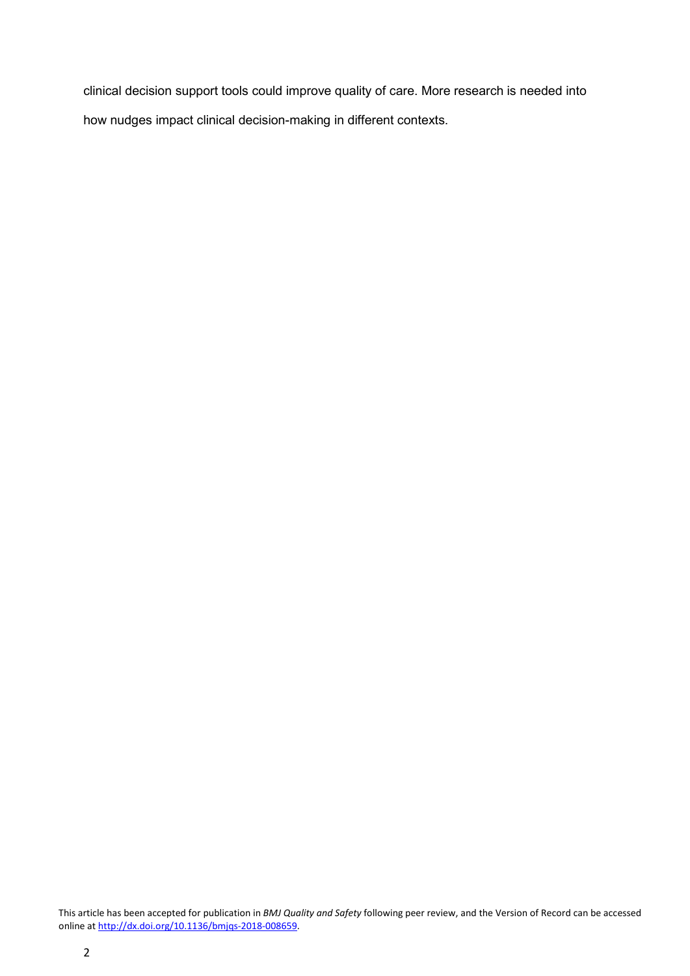clinical decision support tools could improve quality of care. More research is needed into how nudges impact clinical decision-making in different contexts.

This article has been accepted for publication in *BMJ Quality and Safety* following peer review, and the Version of Record can be accessed online at [http://dx.doi.org/10.1136/bmjqs-2018-008659.](http://dx.doi.org/10.1136/bmjqs-2018-008659)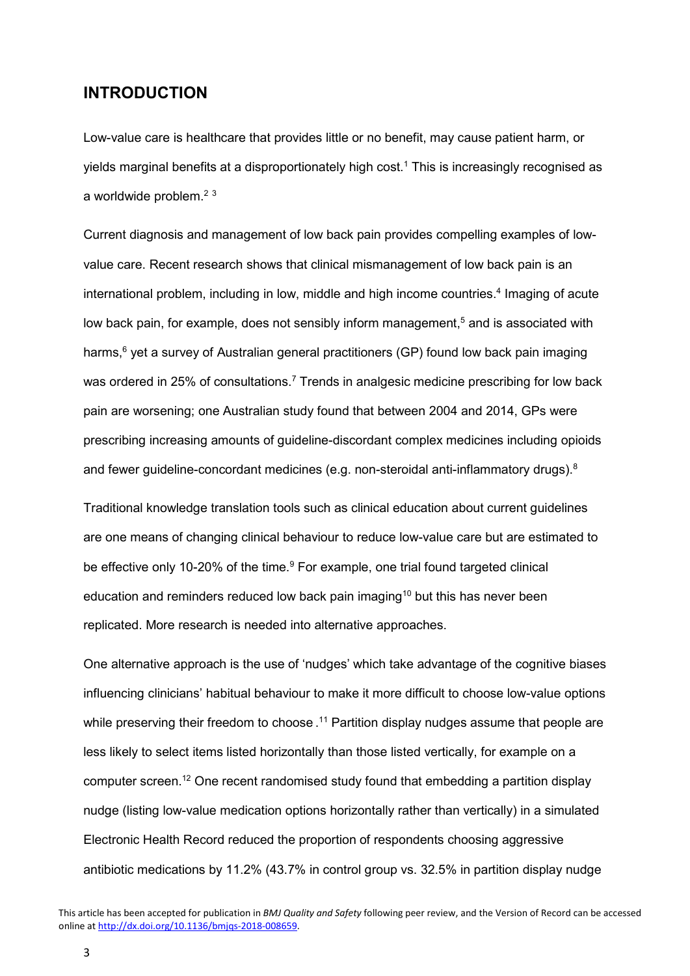# **INTRODUCTION**

Low-value care is healthcare that provides little or no benefit, may cause patient harm, or yields marginal benefits at a disproportionately high cost.<sup>1</sup> This is increasingly recognised as a worldwide problem. $2<sup>3</sup>$ 

Current diagnosis and management of low back pain provides compelling examples of lowvalue care. Recent research shows that clinical mismanagement of low back pain is an international problem, including in low, middle and high income countries.<sup>4</sup> Imaging of acute low back pain, for example, does not sensibly inform management,<sup>5</sup> and is associated with harms,<sup>6</sup> yet a survey of Australian general practitioners (GP) found low back pain imaging was ordered in 25% of consultations.<sup>7</sup> Trends in analgesic medicine prescribing for low back pain are worsening; one Australian study found that between 2004 and 2014, GPs were prescribing increasing amounts of guideline-discordant complex medicines including opioids and fewer guideline-concordant medicines (e.g. non-steroidal anti-inflammatory drugs).<sup>8</sup>

Traditional knowledge translation tools such as clinical education about current guidelines are one means of changing clinical behaviour to reduce low-value care but are estimated to be effective only 10-20% of the time.<sup>9</sup> For example, one trial found targeted clinical education and reminders reduced low back pain imaging<sup>10</sup> but this has never been replicated. More research is needed into alternative approaches.

One alternative approach is the use of 'nudges' which take advantage of the cognitive biases influencing clinicians' habitual behaviour to make it more difficult to choose low-value options while preserving their freedom to choose . <sup>11</sup> Partition display nudges assume that people are less likely to select items listed horizontally than those listed vertically, for example on a computer screen.12 One recent randomised study found that embedding a partition display nudge (listing low-value medication options horizontally rather than vertically) in a simulated Electronic Health Record reduced the proportion of respondents choosing aggressive antibiotic medications by 11.2% (43.7% in control group vs. 32.5% in partition display nudge

3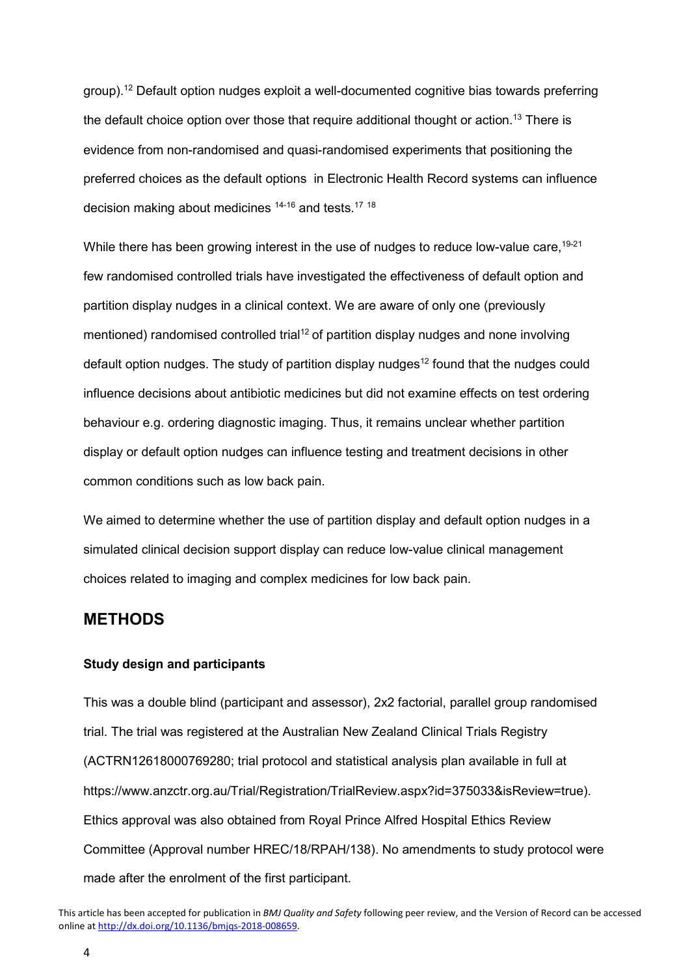group).12 Default option nudges exploit a well-documented cognitive bias towards preferring the default choice option over those that require additional thought or action.<sup>13</sup> There is evidence from non-randomised and quasi-randomised experiments that positioning the preferred choices as the default options in Electronic Health Record systems can influence decision making about medicines 14-16 and tests.17 <sup>18</sup>

While there has been growing interest in the use of nudges to reduce low-value care, <sup>19-21</sup> few randomised controlled trials have investigated the effectiveness of default option and partition display nudges in a clinical context. We are aware of only one (previously mentioned) randomised controlled trial<sup>12</sup> of partition display nudges and none involving default option nudges. The study of partition display nudges<sup>12</sup> found that the nudges could influence decisions about antibiotic medicines but did not examine effects on test ordering behaviour e.g. ordering diagnostic imaging. Thus, it remains unclear whether partition display or default option nudges can influence testing and treatment decisions in other common conditions such as low back pain.

We aimed to determine whether the use of partition display and default option nudges in a simulated clinical decision support display can reduce low-value clinical management choices related to imaging and complex medicines for low back pain.

# **METHODS**

#### **Study design and participants**

This was a double blind (participant and assessor), 2x2 factorial, parallel group randomised trial. The trial was registered at the Australian New Zealand Clinical Trials Registry (ACTRN12618000769280; trial protocol and statistical analysis plan available in full at https://www.anzctr.org.au/Trial/Registration/TrialReview.aspx?id=375033&isReview=true). Ethics approval was also obtained from Royal Prince Alfred Hospital Ethics Review Committee (Approval number HREC/18/RPAH/138). No amendments to study protocol were made after the enrolment of the first participant.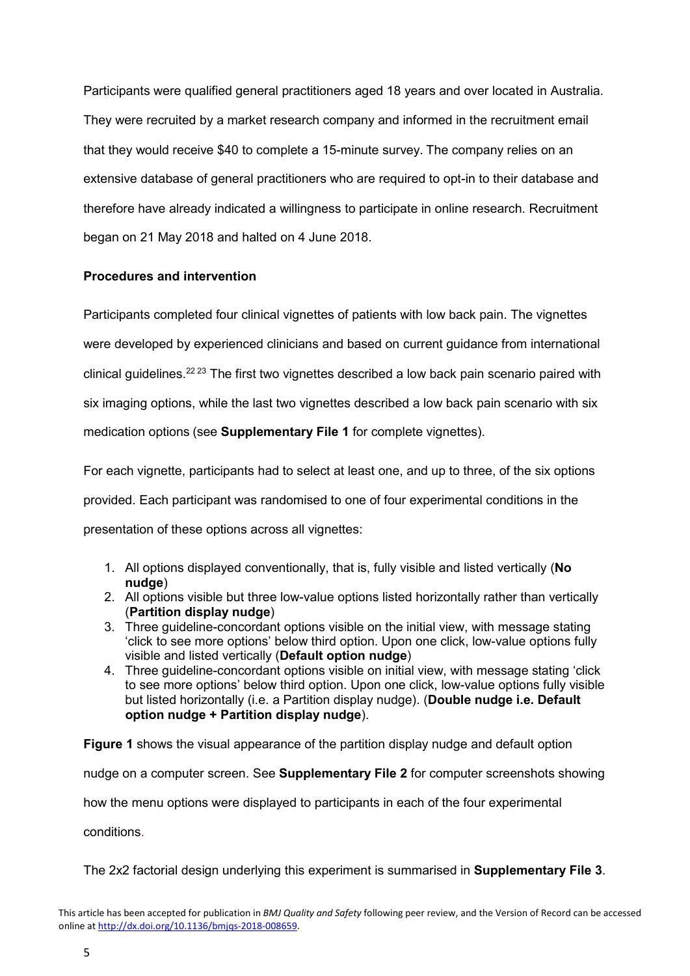Participants were qualified general practitioners aged 18 years and over located in Australia. They were recruited by a market research company and informed in the recruitment email that they would receive \$40 to complete a 15-minute survey. The company relies on an extensive database of general practitioners who are required to opt-in to their database and therefore have already indicated a willingness to participate in online research. Recruitment began on 21 May 2018 and halted on 4 June 2018.

# **Procedures and intervention**

Participants completed four clinical vignettes of patients with low back pain. The vignettes were developed by experienced clinicians and based on current guidance from international clinical guidelines.22 23 The first two vignettes described a low back pain scenario paired with six imaging options, while the last two vignettes described a low back pain scenario with six medication options (see **Supplementary File 1** for complete vignettes).

For each vignette, participants had to select at least one, and up to three, of the six options provided. Each participant was randomised to one of four experimental conditions in the presentation of these options across all vignettes:

- 1. All options displayed conventionally, that is, fully visible and listed vertically (**No nudge**)
- 2. All options visible but three low-value options listed horizontally rather than vertically (**Partition display nudge**)
- 3. Three guideline-concordant options visible on the initial view, with message stating 'click to see more options' below third option. Upon one click, low-value options fully visible and listed vertically (**Default option nudge**)
- 4. Three guideline-concordant options visible on initial view, with message stating 'click to see more options' below third option. Upon one click, low-value options fully visible but listed horizontally (i.e. a Partition display nudge). (**Double nudge i.e. Default option nudge + Partition display nudge**).

**Figure 1** shows the visual appearance of the partition display nudge and default option nudge on a computer screen. See **Supplementary File 2** for computer screenshots showing how the menu options were displayed to participants in each of the four experimental conditions.

The 2x2 factorial design underlying this experiment is summarised in **Supplementary File 3**.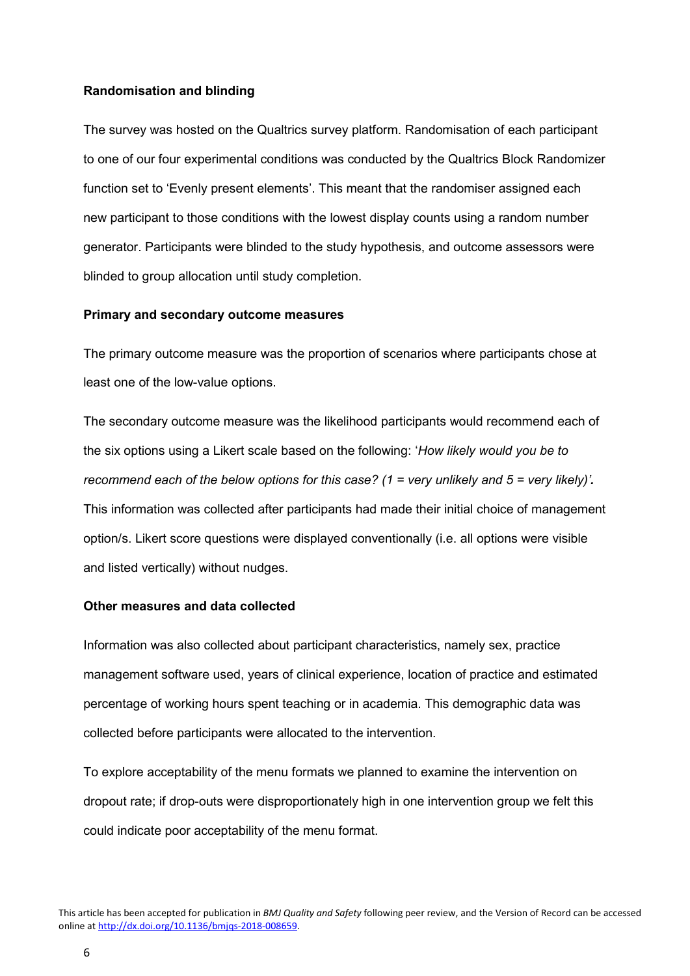#### **Randomisation and blinding**

The survey was hosted on the Qualtrics survey platform. Randomisation of each participant to one of our four experimental conditions was conducted by the Qualtrics Block Randomizer function set to 'Evenly present elements'. This meant that the randomiser assigned each new participant to those conditions with the lowest display counts using a random number generator. Participants were blinded to the study hypothesis, and outcome assessors were blinded to group allocation until study completion.

#### **Primary and secondary outcome measures**

The primary outcome measure was the proportion of scenarios where participants chose at least one of the low-value options.

The secondary outcome measure was the likelihood participants would recommend each of the six options using a Likert scale based on the following: '*How likely would you be to recommend each of the below options for this case? (1 = very unlikely and 5 = very likely)'.* This information was collected after participants had made their initial choice of management option/s. Likert score questions were displayed conventionally (i.e. all options were visible and listed vertically) without nudges.

## **Other measures and data collected**

Information was also collected about participant characteristics, namely sex, practice management software used, years of clinical experience, location of practice and estimated percentage of working hours spent teaching or in academia. This demographic data was collected before participants were allocated to the intervention.

To explore acceptability of the menu formats we planned to examine the intervention on dropout rate; if drop-outs were disproportionately high in one intervention group we felt this could indicate poor acceptability of the menu format.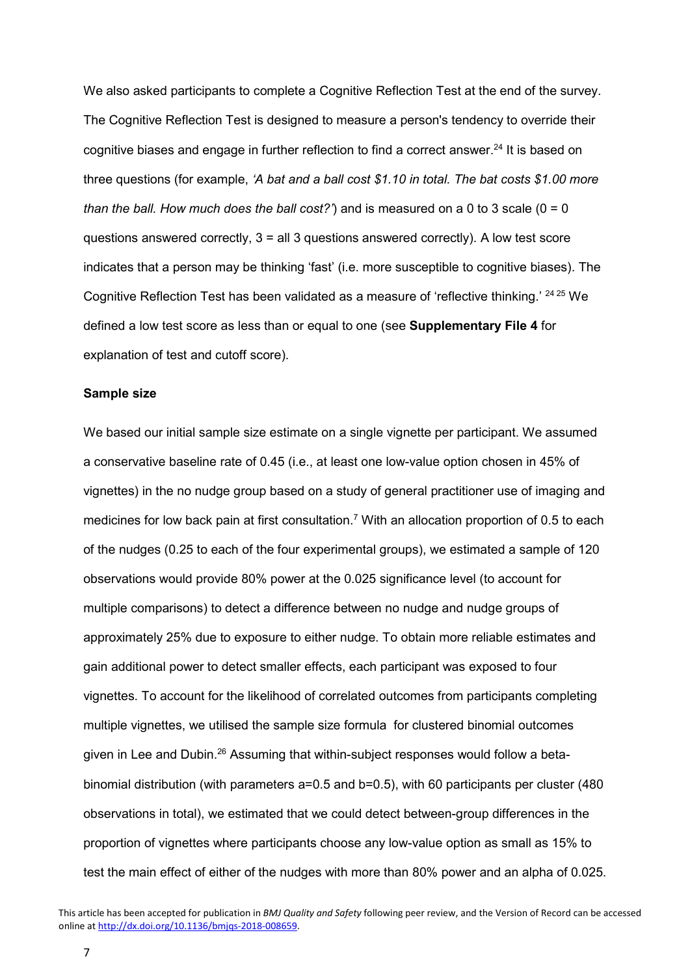We also asked participants to complete a Cognitive Reflection Test at the end of the survey. The Cognitive Reflection Test is designed to measure a person's tendency to override their cognitive biases and engage in further reflection to find a correct answer.<sup>24</sup> It is based on three questions (for example, *'A bat and a ball cost \$1.10 in total. The bat costs \$1.00 more than the ball. How much does the ball cost?'*) and is measured on a 0 to 3 scale ( $0 = 0$ ) questions answered correctly,  $3 =$  all 3 questions answered correctly). A low test score indicates that a person may be thinking 'fast' (i.e. more susceptible to cognitive biases). The Cognitive Reflection Test has been validated as a measure of 'reflective thinking.' 24 25 We defined a low test score as less than or equal to one (see **Supplementary File 4** for explanation of test and cutoff score).

#### **Sample size**

We based our initial sample size estimate on a single vignette per participant. We assumed a conservative baseline rate of 0.45 (i.e., at least one low-value option chosen in 45% of vignettes) in the no nudge group based on a study of general practitioner use of imaging and medicines for low back pain at first consultation.<sup>7</sup> With an allocation proportion of 0.5 to each of the nudges (0.25 to each of the four experimental groups), we estimated a sample of 120 observations would provide 80% power at the 0.025 significance level (to account for multiple comparisons) to detect a difference between no nudge and nudge groups of approximately 25% due to exposure to either nudge. To obtain more reliable estimates and gain additional power to detect smaller effects, each participant was exposed to four vignettes. To account for the likelihood of correlated outcomes from participants completing multiple vignettes, we utilised the sample size formula for clustered binomial outcomes given in Lee and Dubin.<sup>26</sup> Assuming that within-subject responses would follow a betabinomial distribution (with parameters a=0.5 and b=0.5), with 60 participants per cluster (480 observations in total), we estimated that we could detect between-group differences in the proportion of vignettes where participants choose any low-value option as small as 15% to test the main effect of either of the nudges with more than 80% power and an alpha of 0.025.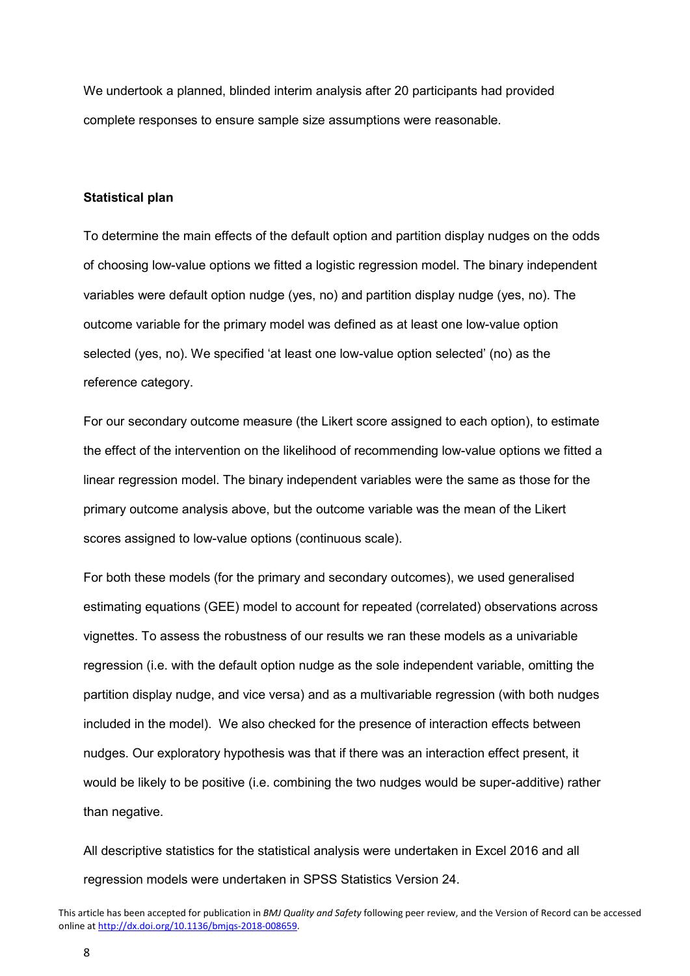We undertook a planned, blinded interim analysis after 20 participants had provided complete responses to ensure sample size assumptions were reasonable.

#### **Statistical plan**

To determine the main effects of the default option and partition display nudges on the odds of choosing low-value options we fitted a logistic regression model. The binary independent variables were default option nudge (yes, no) and partition display nudge (yes, no). The outcome variable for the primary model was defined as at least one low-value option selected (yes, no). We specified 'at least one low-value option selected' (no) as the reference category.

For our secondary outcome measure (the Likert score assigned to each option), to estimate the effect of the intervention on the likelihood of recommending low-value options we fitted a linear regression model. The binary independent variables were the same as those for the primary outcome analysis above, but the outcome variable was the mean of the Likert scores assigned to low-value options (continuous scale).

For both these models (for the primary and secondary outcomes), we used generalised estimating equations (GEE) model to account for repeated (correlated) observations across vignettes. To assess the robustness of our results we ran these models as a univariable regression (i.e. with the default option nudge as the sole independent variable, omitting the partition display nudge, and vice versa) and as a multivariable regression (with both nudges included in the model). We also checked for the presence of interaction effects between nudges. Our exploratory hypothesis was that if there was an interaction effect present, it would be likely to be positive (i.e. combining the two nudges would be super-additive) rather than negative.

All descriptive statistics for the statistical analysis were undertaken in Excel 2016 and all regression models were undertaken in SPSS Statistics Version 24.

This article has been accepted for publication in *BMJ Quality and Safety* following peer review, and the Version of Record can be accessed online at [http://dx.doi.org/10.1136/bmjqs-2018-008659.](http://dx.doi.org/10.1136/bmjqs-2018-008659)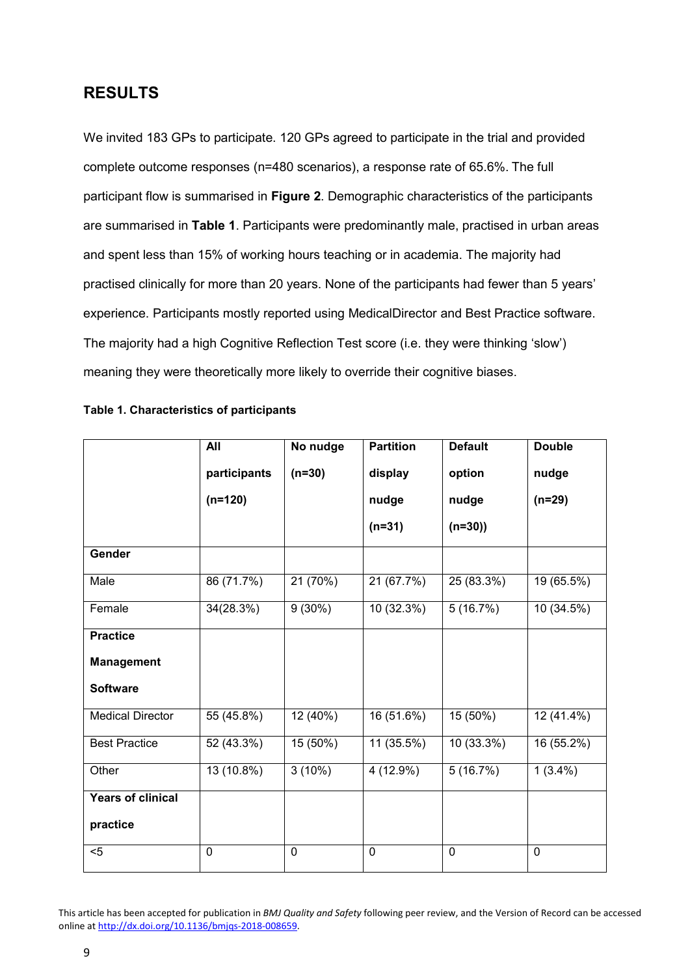# **RESULTS**

We invited 183 GPs to participate. 120 GPs agreed to participate in the trial and provided complete outcome responses (n=480 scenarios), a response rate of 65.6%. The full participant flow is summarised in **Figure 2**. Demographic characteristics of the participants are summarised in **Table 1**. Participants were predominantly male, practised in urban areas and spent less than 15% of working hours teaching or in academia. The majority had practised clinically for more than 20 years. None of the participants had fewer than 5 years' experience. Participants mostly reported using MedicalDirector and Best Practice software. The majority had a high Cognitive Reflection Test score (i.e. they were thinking 'slow') meaning they were theoretically more likely to override their cognitive biases.

|                         | All          | No nudge    | <b>Partition</b> | <b>Default</b>         | <b>Double</b> |
|-------------------------|--------------|-------------|------------------|------------------------|---------------|
|                         | participants | $(n=30)$    | display          | option                 | nudge         |
|                         | $(n=120)$    |             | nudge            | nudge                  | $(n=29)$      |
|                         |              |             | $(n=31)$         | $(n=30)$               |               |
| Gender                  |              |             |                  |                        |               |
| Male                    | 86(71.7%)    | 21 (70%)    | 21 (67.7%)       | 25 (83.3%)             | 19 (65.5%)    |
| Female                  | 34(28.3%)    | 9(30%)      | 10(32.3%)        | 5(16.7%)               | 10(34.5%)     |
| <b>Practice</b>         |              |             |                  |                        |               |
| <b>Management</b>       |              |             |                  |                        |               |
| <b>Software</b>         |              |             |                  |                        |               |
| <b>Medical Director</b> | 55 (45.8%)   | 12 (40%)    | 16 (51.6%)       | 15 (50%)               | 12 (41.4%)    |
| <b>Best Practice</b>    | 52 (43.3%)   | 15 (50%)    | 11 (35.5%)       | 10 (33.3%)             | 16 (55.2%)    |
| Other                   | $13(10.8\%)$ | 3(10%)      | 4(12.9%)         | $\overline{5(16.7\%)}$ | $1(3.4\%)$    |
| Years of clinical       |              |             |                  |                        |               |
| practice                |              |             |                  |                        |               |
| $5$                     | 0            | $\mathbf 0$ | 0                | $\mathbf 0$            | $\mathbf 0$   |

#### **Table 1. Characteristics of participants**

This article has been accepted for publication in *BMJ Quality and Safety* following peer review, and the Version of Record can be accessed online at [http://dx.doi.org/10.1136/bmjqs-2018-008659.](http://dx.doi.org/10.1136/bmjqs-2018-008659)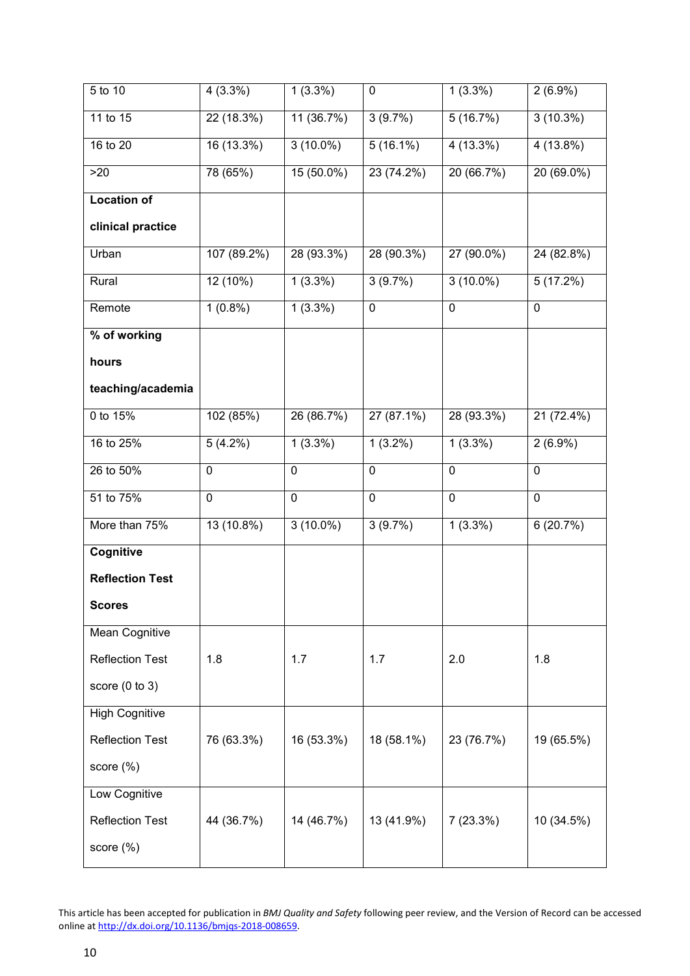| 5 to 10                | $4(3.3\%)$  | $1(3.3\%)$   | 0                      | $1(3.3\%)$   | $2(6.9\%)$     |
|------------------------|-------------|--------------|------------------------|--------------|----------------|
| 11 to 15               | 22 (18.3%)  | 11(36.7%)    | 3(9.7%)                | 5(16.7%)     | 3(10.3%)       |
| 16 to 20               | 16(13.3%)   | $3(10.0\%)$  | $\overline{5(16.1\%)}$ | 4 (13.3%)    | $4(13.8\%)$    |
| >20                    | 78 (65%)    | $15(50.0\%)$ | 23 (74.2%)             | 20(66.7%)    | $20(69.0\%)$   |
| <b>Location of</b>     |             |              |                        |              |                |
| clinical practice      |             |              |                        |              |                |
| Urban                  | 107 (89.2%) | 28 (93.3%)   | 28 (90.3%)             | $27(90.0\%)$ | 24(82.8%)      |
| Rural                  | 12 (10%)    | $1(3.3\%)$   | 3(9.7%)                | $3(10.0\%)$  | 5(17.2%)       |
| Remote                 | $1(0.8\%)$  | $1(3.3\%)$   | $\mathbf 0$            | $\mathbf 0$  | $\mathbf 0$    |
| % of working           |             |              |                        |              |                |
| hours                  |             |              |                        |              |                |
| teaching/academia      |             |              |                        |              |                |
| 0 to 15%               | 102(85%)    | 26 (86.7%)   | $27(87.1\%)$           | 28 (93.3%)   | $21(72.4\%)$   |
| 16 to 25%              | 5(4.2%)     | 1(3.3%)      | $1(3.2\%)$             | 1(3.3%)      | $2(6.9\%)$     |
| 26 to 50%              | 0           | $\pmb{0}$    | $\mathbf 0$            | $\mathbf 0$  | $\overline{0}$ |
| 51 to 75%              | $\mathbf 0$ | $\mathbf 0$  | $\mathbf 0$            | $\mathbf 0$  | $\mathbf 0$    |
| More than 75%          | 13(10.8%)   | $3(10.0\%)$  | 3(9.7%)                | 1(3.3%)      | 6(20.7%)       |
| Cognitive              |             |              |                        |              |                |
| <b>Reflection Test</b> |             |              |                        |              |                |
| <b>Scores</b>          |             |              |                        |              |                |
| Mean Cognitive         |             |              |                        |              |                |
| <b>Reflection Test</b> | 1.8         | 1.7          | 1.7                    | 2.0          | 1.8            |
| score $(0 to 3)$       |             |              |                        |              |                |
| <b>High Cognitive</b>  |             |              |                        |              |                |
| <b>Reflection Test</b> | 76 (63.3%)  | 16 (53.3%)   | 18 (58.1%)             | 23 (76.7%)   | 19 (65.5%)     |
| score $(\%)$           |             |              |                        |              |                |
| Low Cognitive          |             |              |                        |              |                |
| <b>Reflection Test</b> | 44 (36.7%)  | 14 (46.7%)   | 13 (41.9%)             | 7(23.3%)     | 10 (34.5%)     |
| score (%)              |             |              |                        |              |                |

This article has been accepted for publication in *BMJ Quality and Safety* following peer review, and the Version of Record can be accessed online at [http://dx.doi.org/10.1136/bmjqs-2018-008659.](http://dx.doi.org/10.1136/bmjqs-2018-008659)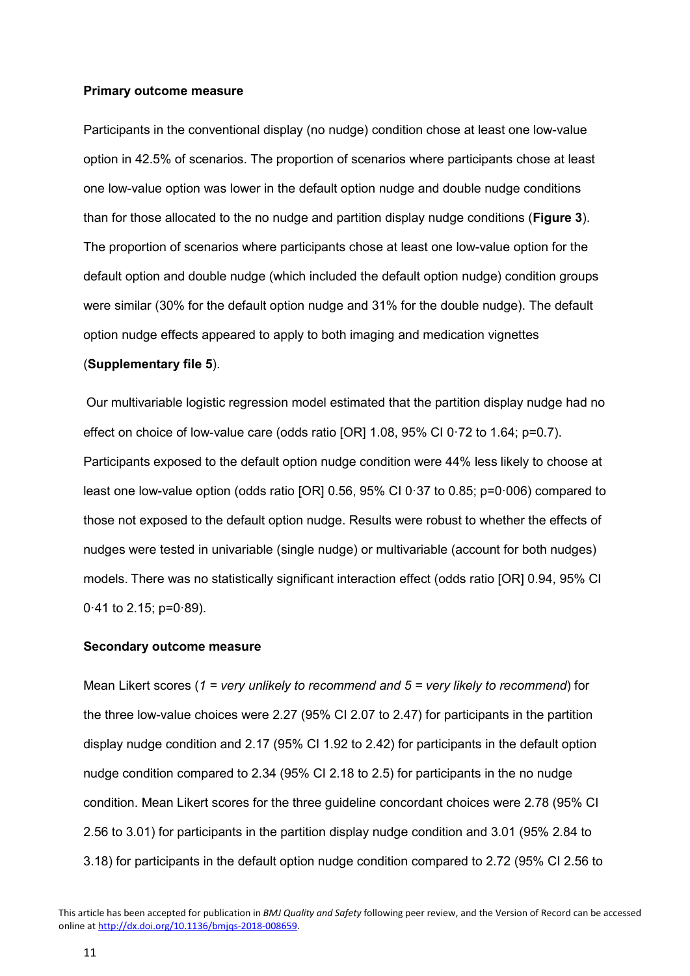#### **Primary outcome measure**

Participants in the conventional display (no nudge) condition chose at least one low-value option in 42.5% of scenarios. The proportion of scenarios where participants chose at least one low-value option was lower in the default option nudge and double nudge conditions than for those allocated to the no nudge and partition display nudge conditions (**Figure 3**). The proportion of scenarios where participants chose at least one low-value option for the default option and double nudge (which included the default option nudge) condition groups were similar (30% for the default option nudge and 31% for the double nudge). The default option nudge effects appeared to apply to both imaging and medication vignettes

### (**Supplementary file 5**).

Our multivariable logistic regression model estimated that the partition display nudge had no effect on choice of low-value care (odds ratio [OR] 1.08, 95% CI 0·72 to 1.64; p=0.7). Participants exposed to the default option nudge condition were 44% less likely to choose at least one low-value option (odds ratio [OR]  $0.56$ , 95% CI  $0.37$  to  $0.85$ ; p=0 $0.006$ ) compared to those not exposed to the default option nudge. Results were robust to whether the effects of nudges were tested in univariable (single nudge) or multivariable (account for both nudges) models. There was no statistically significant interaction effect (odds ratio [OR] 0.94, 95% CI 0·41 to 2.15; p=0·89).

#### **Secondary outcome measure**

Mean Likert scores (*1 = very unlikely to recommend and 5 = very likely to recommend*) for the three low-value choices were 2.27 (95% CI 2.07 to 2.47) for participants in the partition display nudge condition and 2.17 (95% CI 1.92 to 2.42) for participants in the default option nudge condition compared to 2.34 (95% CI 2.18 to 2.5) for participants in the no nudge condition. Mean Likert scores for the three guideline concordant choices were 2.78 (95% CI 2.56 to 3.01) for participants in the partition display nudge condition and 3.01 (95% 2.84 to 3.18) for participants in the default option nudge condition compared to 2.72 (95% CI 2.56 to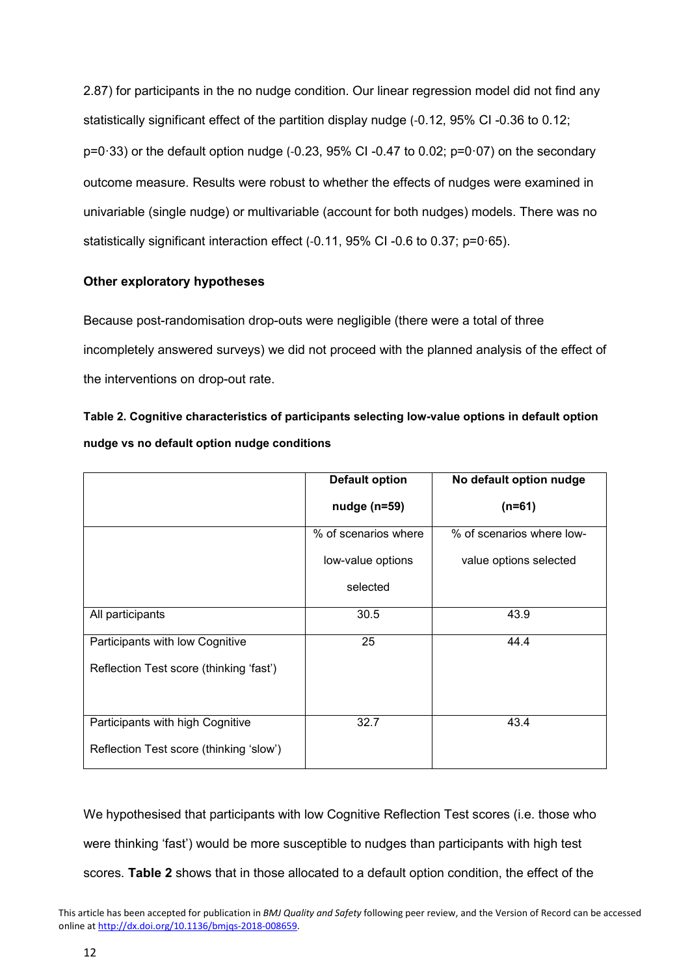2.87) for participants in the no nudge condition. Our linear regression model did not find any statistically significant effect of the partition display nudge (-0.12, 95% CI -0.36 to 0.12;  $p=0.33$ ) or the default option nudge (-0.23, 95% CI -0.47 to 0.02;  $p=0.07$ ) on the secondary outcome measure. Results were robust to whether the effects of nudges were examined in univariable (single nudge) or multivariable (account for both nudges) models. There was no statistically significant interaction effect (-0.11, 95% CI -0.6 to 0.37; p=0·65).

# **Other exploratory hypotheses**

Because post-randomisation drop-outs were negligible (there were a total of three incompletely answered surveys) we did not proceed with the planned analysis of the effect of the interventions on drop-out rate.

**Table 2. Cognitive characteristics of participants selecting low-value options in default option nudge vs no default option nudge conditions**

|                                         | <b>Default option</b> | No default option nudge   |  |
|-----------------------------------------|-----------------------|---------------------------|--|
|                                         | $nudge (n=59)$        | $(n=61)$                  |  |
|                                         | % of scenarios where  | % of scenarios where low- |  |
|                                         | low-value options     | value options selected    |  |
|                                         | selected              |                           |  |
| All participants                        | 30.5                  | 43.9                      |  |
| Participants with low Cognitive         | 25                    | 44.4                      |  |
| Reflection Test score (thinking 'fast') |                       |                           |  |
| Participants with high Cognitive        | 32.7                  | 43.4                      |  |
| Reflection Test score (thinking 'slow') |                       |                           |  |

We hypothesised that participants with low Cognitive Reflection Test scores (i.e. those who were thinking 'fast') would be more susceptible to nudges than participants with high test scores. **Table 2** shows that in those allocated to a default option condition, the effect of the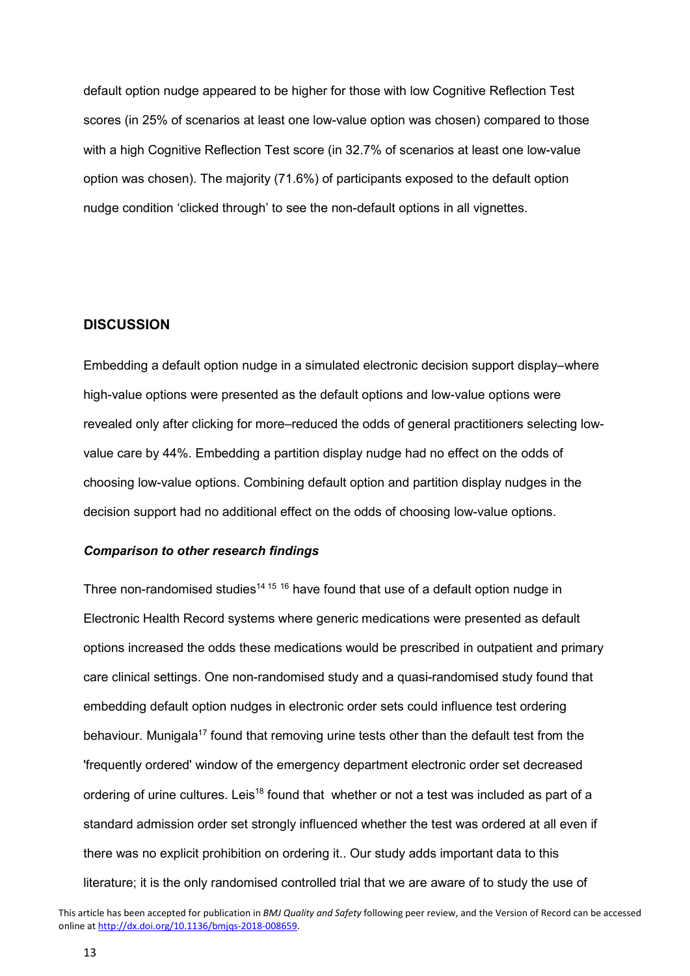default option nudge appeared to be higher for those with low Cognitive Reflection Test scores (in 25% of scenarios at least one low-value option was chosen) compared to those with a high Cognitive Reflection Test score (in 32.7% of scenarios at least one low-value option was chosen). The majority (71.6%) of participants exposed to the default option nudge condition 'clicked through' to see the non-default options in all vignettes.

## **DISCUSSION**

Embedding a default option nudge in a simulated electronic decision support display–where high-value options were presented as the default options and low-value options were revealed only after clicking for more–reduced the odds of general practitioners selecting lowvalue care by 44%. Embedding a partition display nudge had no effect on the odds of choosing low-value options. Combining default option and partition display nudges in the decision support had no additional effect on the odds of choosing low-value options.

#### *Comparison to other research findings*

Three non-randomised studies<sup>14 15</sup> 16 have found that use of a default option nudge in Electronic Health Record systems where generic medications were presented as default options increased the odds these medications would be prescribed in outpatient and primary care clinical settings. One non-randomised study and a quasi-randomised study found that embedding default option nudges in electronic order sets could influence test ordering behaviour. Munigala<sup>17</sup> found that removing urine tests other than the default test from the 'frequently ordered' window of the emergency department electronic order set decreased ordering of urine cultures. Leis<sup>18</sup> found that whether or not a test was included as part of a standard admission order set strongly influenced whether the test was ordered at all even if there was no explicit prohibition on ordering it.. Our study adds important data to this literature; it is the only randomised controlled trial that we are aware of to study the use of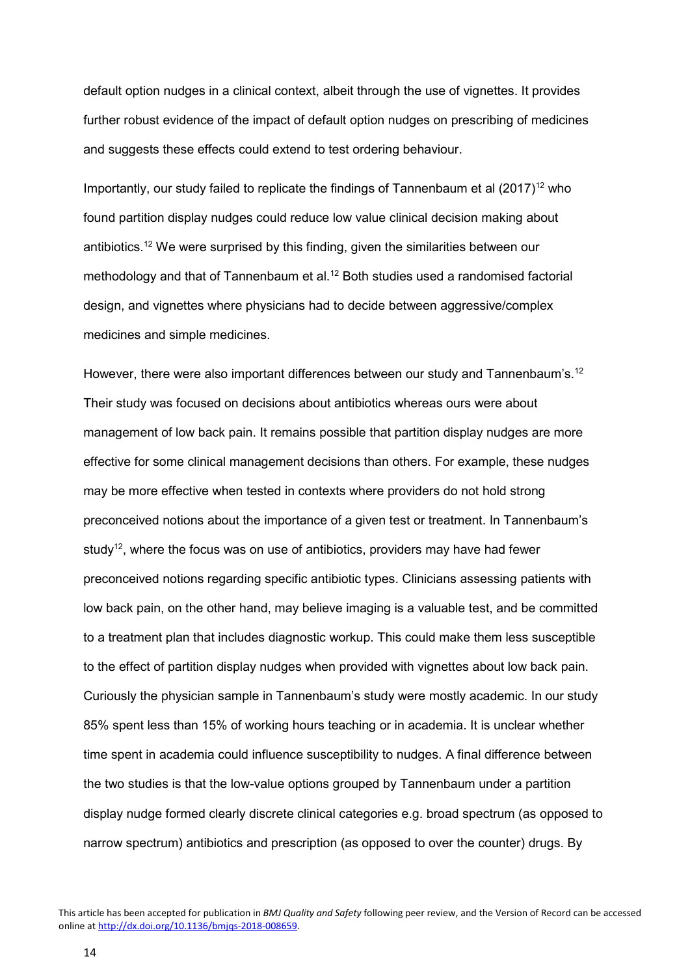default option nudges in a clinical context, albeit through the use of vignettes. It provides further robust evidence of the impact of default option nudges on prescribing of medicines and suggests these effects could extend to test ordering behaviour.

Importantly, our study failed to replicate the findings of Tannenbaum et al  $(2017)^{12}$  who found partition display nudges could reduce low value clinical decision making about antibiotics.12 We were surprised by this finding, given the similarities between our methodology and that of Tannenbaum et al.<sup>12</sup> Both studies used a randomised factorial design, and vignettes where physicians had to decide between aggressive/complex medicines and simple medicines.

However, there were also important differences between our study and Tannenbaum's.<sup>12</sup> Their study was focused on decisions about antibiotics whereas ours were about management of low back pain. It remains possible that partition display nudges are more effective for some clinical management decisions than others. For example, these nudges may be more effective when tested in contexts where providers do not hold strong preconceived notions about the importance of a given test or treatment. In Tannenbaum's study<sup>12</sup>, where the focus was on use of antibiotics, providers may have had fewer preconceived notions regarding specific antibiotic types. Clinicians assessing patients with low back pain, on the other hand, may believe imaging is a valuable test, and be committed to a treatment plan that includes diagnostic workup. This could make them less susceptible to the effect of partition display nudges when provided with vignettes about low back pain. Curiously the physician sample in Tannenbaum's study were mostly academic. In our study 85% spent less than 15% of working hours teaching or in academia. It is unclear whether time spent in academia could influence susceptibility to nudges. A final difference between the two studies is that the low-value options grouped by Tannenbaum under a partition display nudge formed clearly discrete clinical categories e.g. broad spectrum (as opposed to narrow spectrum) antibiotics and prescription (as opposed to over the counter) drugs. By

14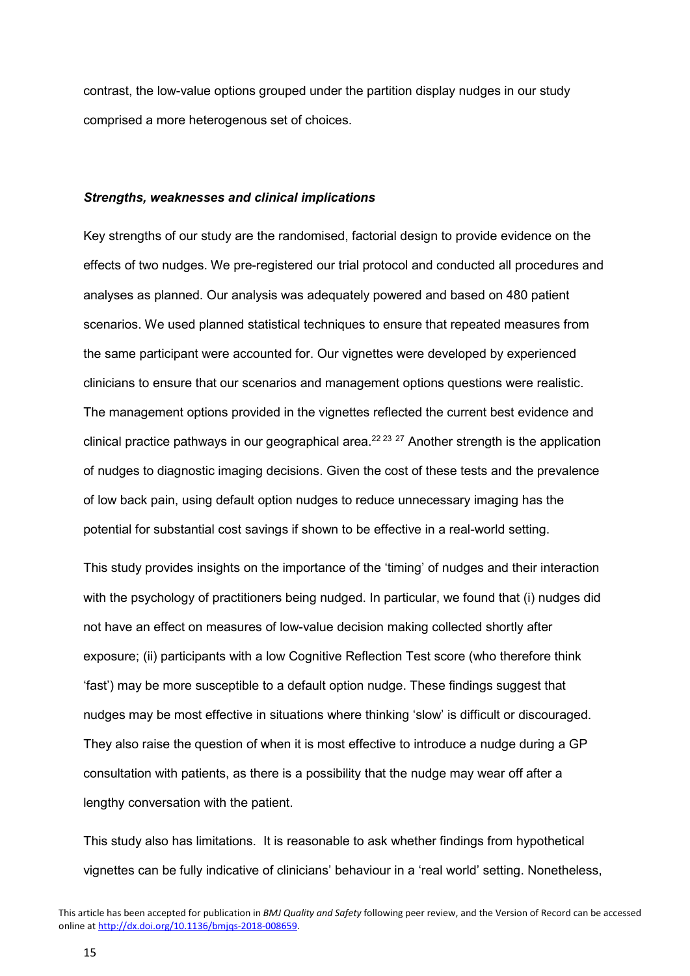contrast, the low-value options grouped under the partition display nudges in our study comprised a more heterogenous set of choices.

#### *Strengths, weaknesses and clinical implications*

Key strengths of our study are the randomised, factorial design to provide evidence on the effects of two nudges. We pre-registered our trial protocol and conducted all procedures and analyses as planned. Our analysis was adequately powered and based on 480 patient scenarios. We used planned statistical techniques to ensure that repeated measures from the same participant were accounted for. Our vignettes were developed by experienced clinicians to ensure that our scenarios and management options questions were realistic. The management options provided in the vignettes reflected the current best evidence and clinical practice pathways in our geographical area.<sup>22 23</sup>  $^{27}$  Another strength is the application of nudges to diagnostic imaging decisions. Given the cost of these tests and the prevalence of low back pain, using default option nudges to reduce unnecessary imaging has the potential for substantial cost savings if shown to be effective in a real-world setting.

This study provides insights on the importance of the 'timing' of nudges and their interaction with the psychology of practitioners being nudged. In particular, we found that (i) nudges did not have an effect on measures of low-value decision making collected shortly after exposure; (ii) participants with a low Cognitive Reflection Test score (who therefore think 'fast') may be more susceptible to a default option nudge. These findings suggest that nudges may be most effective in situations where thinking 'slow' is difficult or discouraged. They also raise the question of when it is most effective to introduce a nudge during a GP consultation with patients, as there is a possibility that the nudge may wear off after a lengthy conversation with the patient.

This study also has limitations. It is reasonable to ask whether findings from hypothetical vignettes can be fully indicative of clinicians' behaviour in a 'real world' setting. Nonetheless,

This article has been accepted for publication in *BMJ Quality and Safety* following peer review, and the Version of Record can be accessed online at [http://dx.doi.org/10.1136/bmjqs-2018-008659.](http://dx.doi.org/10.1136/bmjqs-2018-008659)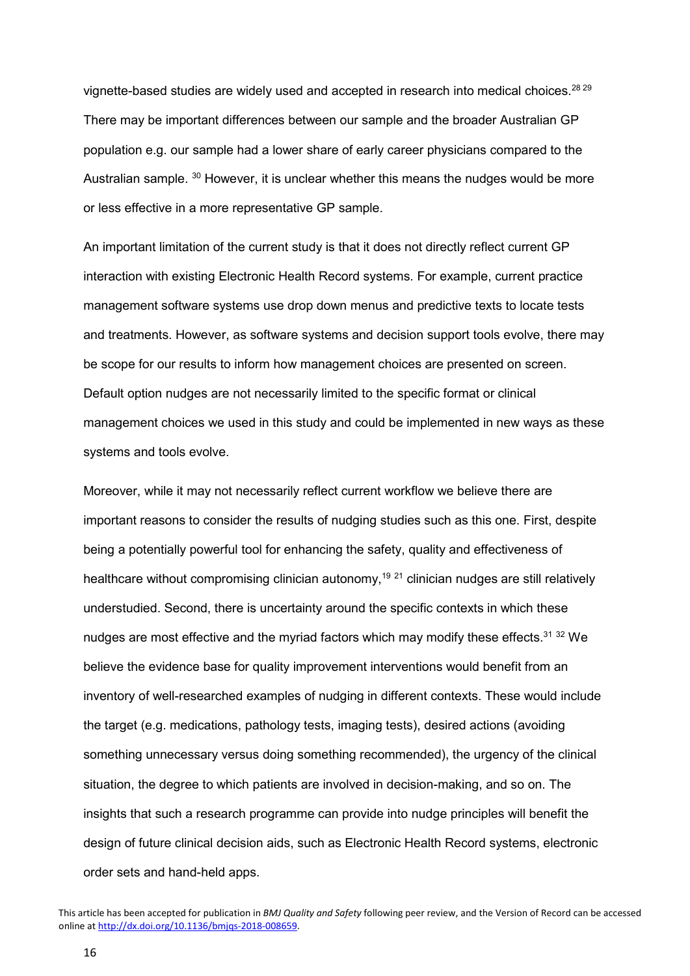vignette-based studies are widely used and accepted in research into medical choices.<sup>28 29</sup> There may be important differences between our sample and the broader Australian GP population e.g. our sample had a lower share of early career physicians compared to the Australian sample. <sup>30</sup> However, it is unclear whether this means the nudges would be more or less effective in a more representative GP sample.

An important limitation of the current study is that it does not directly reflect current GP interaction with existing Electronic Health Record systems. For example, current practice management software systems use drop down menus and predictive texts to locate tests and treatments. However, as software systems and decision support tools evolve, there may be scope for our results to inform how management choices are presented on screen. Default option nudges are not necessarily limited to the specific format or clinical management choices we used in this study and could be implemented in new ways as these systems and tools evolve.

Moreover, while it may not necessarily reflect current workflow we believe there are important reasons to consider the results of nudging studies such as this one. First, despite being a potentially powerful tool for enhancing the safety, quality and effectiveness of healthcare without compromising clinician autonomy,<sup>19 21</sup> clinician nudges are still relatively understudied. Second, there is uncertainty around the specific contexts in which these nudges are most effective and the myriad factors which may modify these effects.<sup>31,32</sup> We believe the evidence base for quality improvement interventions would benefit from an inventory of well-researched examples of nudging in different contexts. These would include the target (e.g. medications, pathology tests, imaging tests), desired actions (avoiding something unnecessary versus doing something recommended), the urgency of the clinical situation, the degree to which patients are involved in decision-making, and so on. The insights that such a research programme can provide into nudge principles will benefit the design of future clinical decision aids, such as Electronic Health Record systems, electronic order sets and hand-held apps.

This article has been accepted for publication in *BMJ Quality and Safety* following peer review, and the Version of Record can be accessed online at [http://dx.doi.org/10.1136/bmjqs-2018-008659.](http://dx.doi.org/10.1136/bmjqs-2018-008659)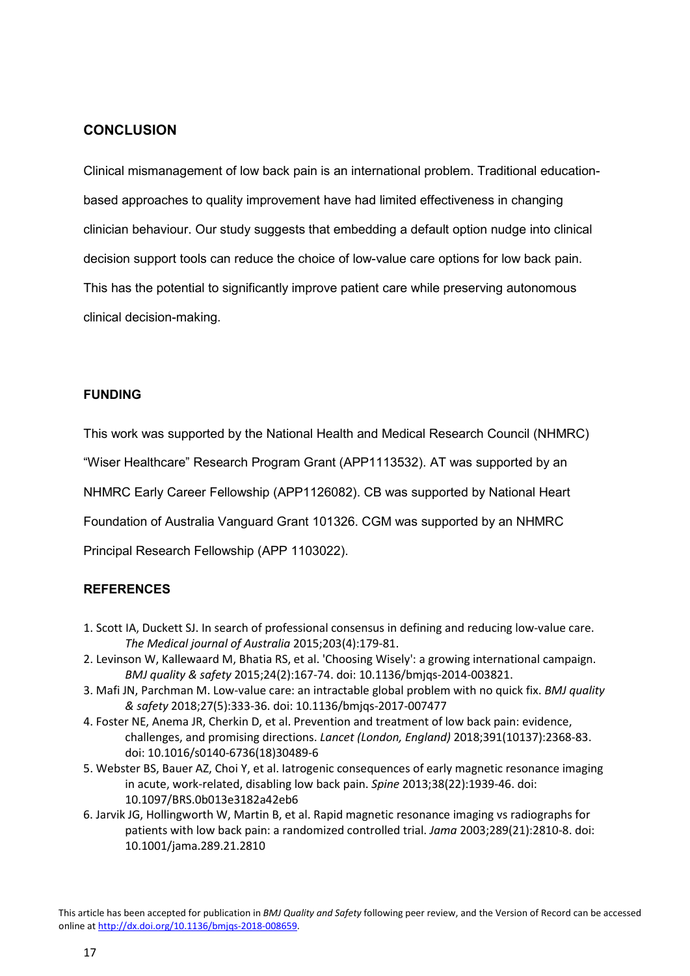# **CONCLUSION**

Clinical mismanagement of low back pain is an international problem. Traditional educationbased approaches to quality improvement have had limited effectiveness in changing clinician behaviour. Our study suggests that embedding a default option nudge into clinical decision support tools can reduce the choice of low-value care options for low back pain. This has the potential to significantly improve patient care while preserving autonomous clinical decision-making.

## **FUNDING**

This work was supported by the National Health and Medical Research Council (NHMRC)

"Wiser Healthcare" Research Program Grant (APP1113532). AT was supported by an

NHMRC Early Career Fellowship (APP1126082). CB was supported by National Heart

Foundation of Australia Vanguard Grant 101326. CGM was supported by an NHMRC

Principal Research Fellowship (APP 1103022).

# **REFERENCES**

- 1. Scott IA, Duckett SJ. In search of professional consensus in defining and reducing low-value care. *The Medical journal of Australia* 2015;203(4):179-81.
- 2. Levinson W, Kallewaard M, Bhatia RS, et al. 'Choosing Wisely': a growing international campaign. *BMJ quality & safety* 2015;24(2):167-74. doi: 10.1136/bmjqs-2014-003821.
- 3. Mafi JN, Parchman M. Low-value care: an intractable global problem with no quick fix. *BMJ quality & safety* 2018;27(5):333-36. doi: 10.1136/bmjqs-2017-007477
- 4. Foster NE, Anema JR, Cherkin D, et al. Prevention and treatment of low back pain: evidence, challenges, and promising directions. *Lancet (London, England)* 2018;391(10137):2368-83. doi: 10.1016/s0140-6736(18)30489-6
- 5. Webster BS, Bauer AZ, Choi Y, et al. Iatrogenic consequences of early magnetic resonance imaging in acute, work-related, disabling low back pain. *Spine* 2013;38(22):1939-46. doi: 10.1097/BRS.0b013e3182a42eb6
- 6. Jarvik JG, Hollingworth W, Martin B, et al. Rapid magnetic resonance imaging vs radiographs for patients with low back pain: a randomized controlled trial. *Jama* 2003;289(21):2810-8. doi: 10.1001/jama.289.21.2810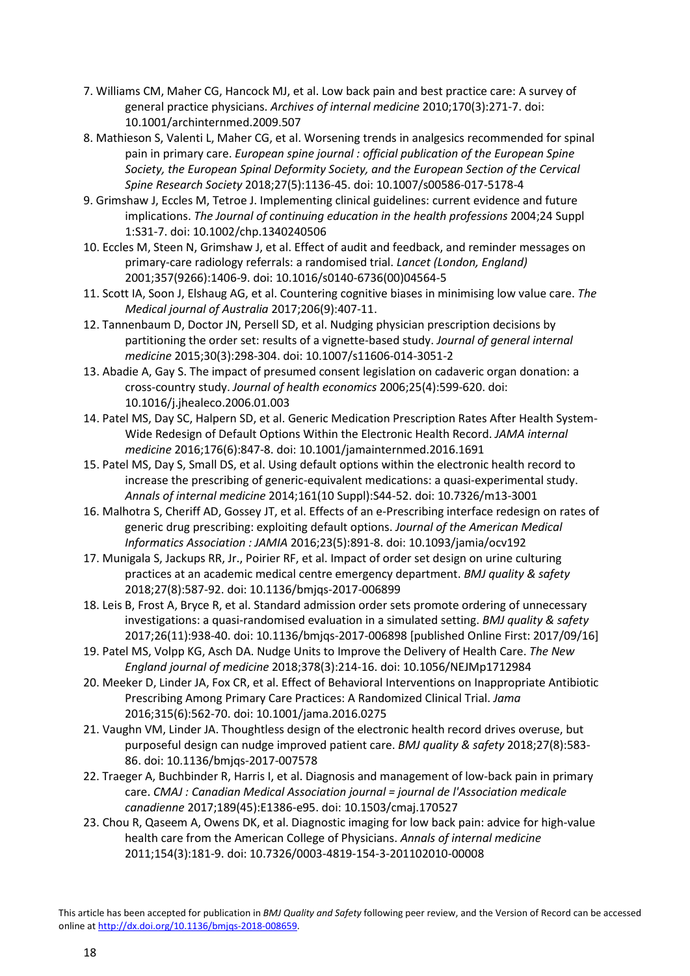- 7. Williams CM, Maher CG, Hancock MJ, et al. Low back pain and best practice care: A survey of general practice physicians. *Archives of internal medicine* 2010;170(3):271-7. doi: 10.1001/archinternmed.2009.507
- 8. Mathieson S, Valenti L, Maher CG, et al. Worsening trends in analgesics recommended for spinal pain in primary care. *European spine journal : official publication of the European Spine Society, the European Spinal Deformity Society, and the European Section of the Cervical Spine Research Society* 2018;27(5):1136-45. doi: 10.1007/s00586-017-5178-4
- 9. Grimshaw J, Eccles M, Tetroe J. Implementing clinical guidelines: current evidence and future implications. *The Journal of continuing education in the health professions* 2004;24 Suppl 1:S31-7. doi: 10.1002/chp.1340240506
- 10. Eccles M, Steen N, Grimshaw J, et al. Effect of audit and feedback, and reminder messages on primary-care radiology referrals: a randomised trial. *Lancet (London, England)* 2001;357(9266):1406-9. doi: 10.1016/s0140-6736(00)04564-5
- 11. Scott IA, Soon J, Elshaug AG, et al. Countering cognitive biases in minimising low value care. *The Medical journal of Australia* 2017;206(9):407-11.
- 12. Tannenbaum D, Doctor JN, Persell SD, et al. Nudging physician prescription decisions by partitioning the order set: results of a vignette-based study. *Journal of general internal medicine* 2015;30(3):298-304. doi: 10.1007/s11606-014-3051-2
- 13. Abadie A, Gay S. The impact of presumed consent legislation on cadaveric organ donation: a cross-country study. *Journal of health economics* 2006;25(4):599-620. doi: 10.1016/j.jhealeco.2006.01.003
- 14. Patel MS, Day SC, Halpern SD, et al. Generic Medication Prescription Rates After Health System-Wide Redesign of Default Options Within the Electronic Health Record. *JAMA internal medicine* 2016;176(6):847-8. doi: 10.1001/jamainternmed.2016.1691
- 15. Patel MS, Day S, Small DS, et al. Using default options within the electronic health record to increase the prescribing of generic-equivalent medications: a quasi-experimental study. *Annals of internal medicine* 2014;161(10 Suppl):S44-52. doi: 10.7326/m13-3001
- 16. Malhotra S, Cheriff AD, Gossey JT, et al. Effects of an e-Prescribing interface redesign on rates of generic drug prescribing: exploiting default options. *Journal of the American Medical Informatics Association : JAMIA* 2016;23(5):891-8. doi: 10.1093/jamia/ocv192
- 17. Munigala S, Jackups RR, Jr., Poirier RF, et al. Impact of order set design on urine culturing practices at an academic medical centre emergency department. *BMJ quality & safety* 2018;27(8):587-92. doi: 10.1136/bmjqs-2017-006899
- 18. Leis B, Frost A, Bryce R, et al. Standard admission order sets promote ordering of unnecessary investigations: a quasi-randomised evaluation in a simulated setting. *BMJ quality & safety* 2017;26(11):938-40. doi: 10.1136/bmjqs-2017-006898 [published Online First: 2017/09/16]
- 19. Patel MS, Volpp KG, Asch DA. Nudge Units to Improve the Delivery of Health Care. *The New England journal of medicine* 2018;378(3):214-16. doi: 10.1056/NEJMp1712984
- 20. Meeker D, Linder JA, Fox CR, et al. Effect of Behavioral Interventions on Inappropriate Antibiotic Prescribing Among Primary Care Practices: A Randomized Clinical Trial. *Jama* 2016;315(6):562-70. doi: 10.1001/jama.2016.0275
- 21. Vaughn VM, Linder JA. Thoughtless design of the electronic health record drives overuse, but purposeful design can nudge improved patient care. *BMJ quality & safety* 2018;27(8):583- 86. doi: 10.1136/bmjqs-2017-007578
- 22. Traeger A, Buchbinder R, Harris I, et al. Diagnosis and management of low-back pain in primary care. *CMAJ : Canadian Medical Association journal = journal de l'Association medicale canadienne* 2017;189(45):E1386-e95. doi: 10.1503/cmaj.170527
- 23. Chou R, Qaseem A, Owens DK, et al. Diagnostic imaging for low back pain: advice for high-value health care from the American College of Physicians. *Annals of internal medicine* 2011;154(3):181-9. doi: 10.7326/0003-4819-154-3-201102010-00008

This article has been accepted for publication in *BMJ Quality and Safety* following peer review, and the Version of Record can be accessed online at [http://dx.doi.org/10.1136/bmjqs-2018-008659.](http://dx.doi.org/10.1136/bmjqs-2018-008659)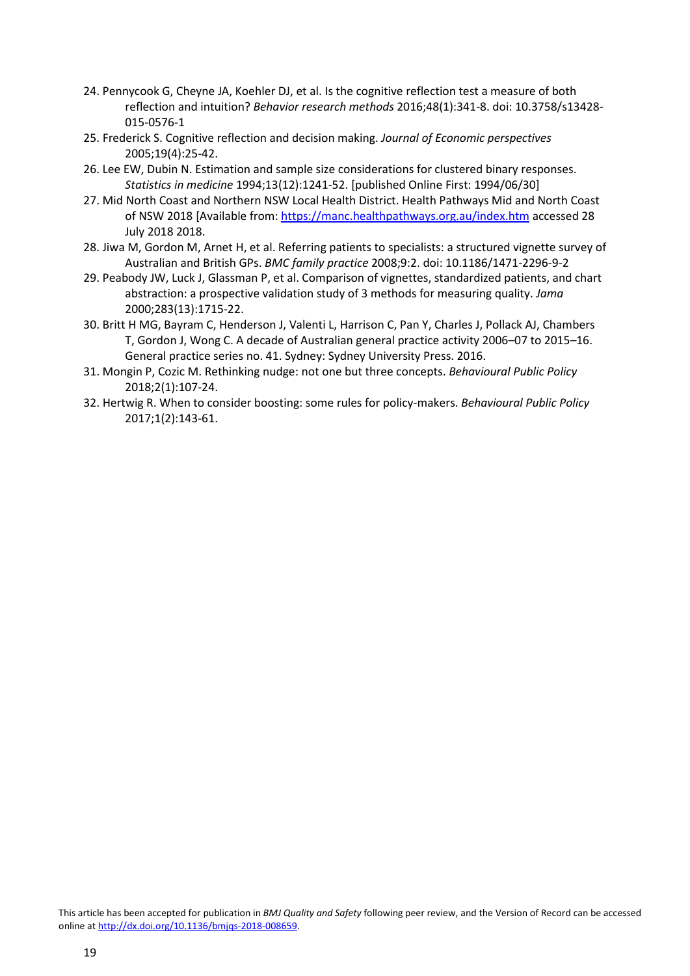- 24. Pennycook G, Cheyne JA, Koehler DJ, et al. Is the cognitive reflection test a measure of both reflection and intuition? *Behavior research methods* 2016;48(1):341-8. doi: 10.3758/s13428- 015-0576-1
- 25. Frederick S. Cognitive reflection and decision making. *Journal of Economic perspectives* 2005;19(4):25-42.
- 26. Lee EW, Dubin N. Estimation and sample size considerations for clustered binary responses. *Statistics in medicine* 1994;13(12):1241-52. [published Online First: 1994/06/30]
- 27. Mid North Coast and Northern NSW Local Health District. Health Pathways Mid and North Coast of NSW 2018 [Available from[: https://manc.healthpathways.org.au/index.htm](https://manc.healthpathways.org.au/index.htm) accessed 28 July 2018 2018.
- 28. Jiwa M, Gordon M, Arnet H, et al. Referring patients to specialists: a structured vignette survey of Australian and British GPs. *BMC family practice* 2008;9:2. doi: 10.1186/1471-2296-9-2
- 29. Peabody JW, Luck J, Glassman P, et al. Comparison of vignettes, standardized patients, and chart abstraction: a prospective validation study of 3 methods for measuring quality. *Jama* 2000;283(13):1715-22.
- 30. Britt H MG, Bayram C, Henderson J, Valenti L, Harrison C, Pan Y, Charles J, Pollack AJ, Chambers T, Gordon J, Wong C. A decade of Australian general practice activity 2006–07 to 2015–16. General practice series no. 41. Sydney: Sydney University Press. 2016.
- 31. Mongin P, Cozic M. Rethinking nudge: not one but three concepts. *Behavioural Public Policy* 2018;2(1):107-24.
- 32. Hertwig R. When to consider boosting: some rules for policy-makers. *Behavioural Public Policy* 2017;1(2):143-61.